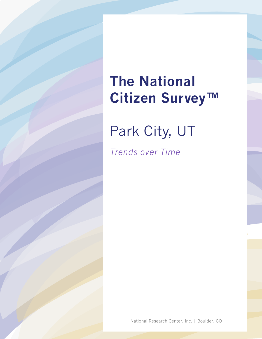## **The National Citizen Survey™**

Park City, UT

*Trends over Time*

National Research Center, Inc. | Boulder, CO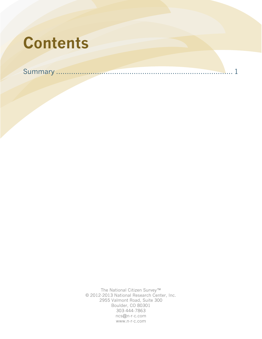# **Contents**

Summary [..................................................................................](#page-2-0) 1

The National Citizen Survey™ © 2012-2013 National Research Center, Inc. 2955 Valmont Road, Suite 300 Boulder, CO 80301 303-444-7863 ncs@n-r-c.com www.n-r-c.com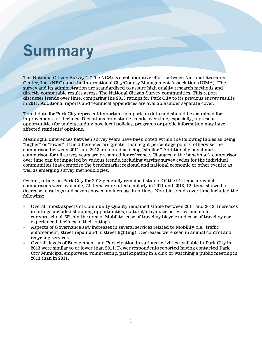### <span id="page-2-0"></span>**Summary**

The National Citizen Survey™ (The NCS) is a collaborative effort between National Research Center, Inc. (NRC) and the International City/County Management Association (ICMA). The survey and its administration are standardized to assure high quality research methods and directly comparable results across The National Citizen Survey communities. This report discusses trends over time, comparing the 2013 ratings for Park City to its previous survey results in 2011. Additional reports and technical appendices are available under separate cover.

Trend data for Park City represent important comparison data and should be examined for improvements or declines. Deviations from stable trends over time, especially, represent opportunities for understanding how local policies, programs or public information may have affected residents' opinions.

Meaningful differences between survey years have been noted within the following tables as being "higher" or "lower" if the differences are greater than eight percentage points, otherwise the comparison between 2011 and 2013 are noted as being "similar." Additionally benchmark comparison for all survey years are presented for reference. Changes in the benchmark comparison over time can be impacted by various trends, including varying survey cycles for the individual communities that comprise the benchmarks; regional and national economic or other events; as well as emerging survey methodologies.

Overall, ratings in Park City for 2013 generally remained stable. Of the 91 items for which comparisons were available, 72 items were rated similarly in 2011 and 2013, 12 items showed a decrease in ratings and seven showed an increase in ratings. Notable trends over time included the following:

- Overall, most aspects of Community Quality remained stable between 2011 and 2013. Increases in ratings included shopping opportunities, cultural/arts/music activities and child care/preschool. Within the area of Mobility, ease of travel by bicycle and ease of travel by car experienced declines in their ratings.
- Aspects of Governance saw increases in several services related to Mobility (i.e., traffic enforcement, street repair and in street lighting). Decreases were seen in animal control and recycling services.
- Overall, levels of Engagement and Participation in various activities available in Park City in 2013 were similar to or lower than 2011. Fewer respondents reported having contacted Park City Municipal employees, volunteering, participating in a club or watching a public meeting in 2013 than in 2011.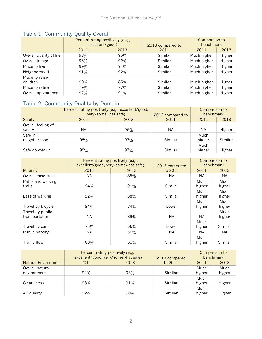|                            | Percent rating positively (e.g.,<br>excellent/good) |      | 2013 compared to | Comparison to<br>benchmark |        |
|----------------------------|-----------------------------------------------------|------|------------------|----------------------------|--------|
|                            | 2011                                                | 2013 | 2011             | 2011                       | 2013   |
| Overall quality of life    | 98%                                                 | 96%  | Similar          | Much higher                | Higher |
| Overall image              | 96%                                                 | 92%  | Similar          | Much higher                | Higher |
| Place to live              | 99%                                                 | 94%  | Similar          | Much higher                | Higher |
| Neighborhood               | 91%                                                 | 92%  | Similar          | Much higher                | Higher |
| Place to raise<br>children | $90\%$                                              | 85%  | Similar          | Much higher                | Higher |
| Place to retire            | 79%                                                 | 77%  | Similar          | Much higher                | Higher |
| Overall appearance         | 97%                                                 | 91%  | Similar          | Much higher                | Higher |

### Table 1: Community Quality Overall

#### Table 2: Community Quality by Domain

|                              | Percent rating positively (e.g., excellent/good,<br>very/somewhat safe) |      | 2013 compared to | Comparison to<br>benchmark |         |
|------------------------------|-------------------------------------------------------------------------|------|------------------|----------------------------|---------|
| Safety                       | 2011                                                                    | 2013 | 2011             | 2011                       | 2013    |
| Overall feeling of<br>safety | ΝA                                                                      | 96%  | <b>NA</b>        | ΝA                         | Higher  |
| Safe in<br>neighborhood      | 98%                                                                     | 97%  | Similar          | Much<br>higher             | Similar |
| Safe downtown                | 98%                                                                     | 97%  | Similar          | Much<br>higher             | Higher  |

|                                    | Percent rating positively (e.g.,<br>excellent/good, very/somewhat safe) |      | 2013 compared | Comparison to<br>benchmark |                |
|------------------------------------|-------------------------------------------------------------------------|------|---------------|----------------------------|----------------|
| <b>Mobility</b>                    | 2011                                                                    | 2013 | to 2011       | 2011                       | 2013           |
| Overall ease travel                | <b>NA</b>                                                               | 85%  | NA.           | NA.                        | NA.            |
| Paths and walking<br>trails        | 94%                                                                     | 91%  | Similar       | Much<br>higher             | Much<br>higher |
| Ease of walking                    | 92%                                                                     | 88%  | Similar       | Much<br>higher             | Much<br>higher |
| Travel by bicycle                  | 94%                                                                     | 84%  | Lower         | Much<br>higher             | Much<br>higher |
| Travel by public<br>transportation | <b>NA</b>                                                               | 89%  | <b>NA</b>     | NA.                        | Much<br>higher |
| Travel by car                      | 75%                                                                     | 66%  | Lower         | Much<br>higher             | Similar        |
| Public parking                     | <b>NA</b>                                                               | 50%  | <b>NA</b>     | NA.                        | NA.            |
| <b>Traffic flow</b>                | 68%                                                                     | 61%  | Similar       | Much<br>higher             | Similar        |

|                                | Percent rating positively (e.g.,<br>excellent/good, very/somewhat safe) |      | 2013 compared |                | Comparison to<br>benchmark |
|--------------------------------|-------------------------------------------------------------------------|------|---------------|----------------|----------------------------|
| <b>Natural Environment</b>     | 2011                                                                    | 2013 | to 2011       | 2011           | 2013                       |
| Overall natural<br>environment | 94%                                                                     | 93%  | Similar       | Much<br>higher | Much<br>higher             |
| Cleanliness                    | 93%                                                                     | 91%  | Similar       | Much<br>higher | Higher                     |
| Air quality                    | 92%                                                                     | 90%  | Similar       | Much<br>higher | Higher                     |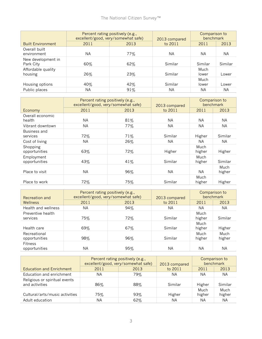|                                 | Percent rating positively (e.g.,<br>excellent/good, very/somewhat safe) |      | 2013 compared | Comparison to<br>benchmark |           |
|---------------------------------|-------------------------------------------------------------------------|------|---------------|----------------------------|-----------|
| <b>Built Environment</b>        | 2011                                                                    | 2013 | to 2011       | 2011                       | 2013      |
| Overall built<br>environment    | ΝA                                                                      | 77%  | ΝA            | ΝA                         | <b>NA</b> |
| New development in<br>Park City | 60%                                                                     | 62%  | Similar       | Similar                    | Similar   |
| Affordable quality<br>housing   | 26%                                                                     | 23%  | Similar       | Much<br>lower              | Lower     |
| Housing options                 | 40%                                                                     | 42%  | Similar       | Much<br>lower              | Lower     |
| Public places                   | ΝA                                                                      | 91%  | ΝA            | ΝA                         | <b>NA</b> |

|                             | Percent rating positively (e.g.,<br>excellent/good, very/somewhat safe) |      | 2013 compared | Comparison to<br>benchmark |                |
|-----------------------------|-------------------------------------------------------------------------|------|---------------|----------------------------|----------------|
| Economy                     | 2011                                                                    | 2013 | to 2011       | 2011                       | 2013           |
| Overall economic<br>health  | NA.                                                                     | 81%  | <b>NA</b>     | NА                         | <b>NA</b>      |
| Vibrant downtown            | <b>NA</b>                                                               | 77%  | <b>NA</b>     | NА                         | NA.            |
| Business and<br>services    | 72%                                                                     | 71%  | Similar       | Higher                     | Similar        |
| Cost of living              | NА                                                                      | 26%  | NA.           | NA.                        | NA.            |
| Shopping<br>opportunities   | 63%                                                                     | 72%  | Higher        | Much<br>higher             | Higher         |
| Employment<br>opportunities | 43%                                                                     | 41%  | Similar       | Much<br>higher             | Similar        |
| Place to visit              | <b>NA</b>                                                               | 96%  | <b>NA</b>     | NА                         | Much<br>higher |
| Place to work               | 72%                                                                     | 75%  | Similar       | Much<br>higher             | Higher         |

| Recreation and                  | Percent rating positively (e.g.,<br>excellent/good, very/somewhat safe) |      | 2013 compared |                | Comparison to<br>benchmark |
|---------------------------------|-------------------------------------------------------------------------|------|---------------|----------------|----------------------------|
| Wellness                        | 2011                                                                    | 2013 | to 2011       | 2011           | 2013                       |
| Health and wellness             | <b>NA</b>                                                               | 94%  | NA.           | ΝA             | <b>NA</b>                  |
| Preventive health<br>services   | 75%                                                                     | 72%  | Similar       | Much<br>higher | Similar                    |
| Health care                     | 69%                                                                     | 67%  | Similar       | Much<br>higher | Higher                     |
| Recreational<br>opportunities   | 98%                                                                     | 96%  | Similar       | Much<br>higher | Much<br>higher             |
| <b>Fitness</b><br>opportunities | NА                                                                      | 95%  | ΝA            | ΝA             | ΝA                         |

|                                                 | Percent rating positively (e.g.,<br>excellent/good, very/somewhat safe) |      | 2013 compared |                | Comparison to<br>benchmark |
|-------------------------------------------------|-------------------------------------------------------------------------|------|---------------|----------------|----------------------------|
| <b>Education and Enrichment</b>                 | 2011                                                                    | 2013 | to 2011       | 2011           | 2013                       |
| Education and enrichment                        | ΝA                                                                      | 79%  | ΝA            | ΝA             | ΝA                         |
| Religious or spiritual events<br>and activities | 86%                                                                     | 88%  | Similar       | Higher         | Similar                    |
| Cultural/arts/music activities                  | 75%                                                                     | 93%  | Higher        | Much<br>higher | Much<br>higher             |
| Adult education                                 | ΝA                                                                      | 62%  | ΝA            | ΝA             | ΝA                         |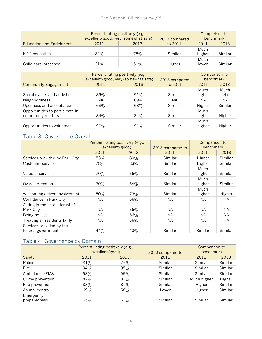|                                 | Percent rating positively (e.g.,<br>excellent/good, very/somewhat safe) |      | 2013 compared |                | Comparison to<br>benchmark |
|---------------------------------|-------------------------------------------------------------------------|------|---------------|----------------|----------------------------|
| <b>Education and Enrichment</b> | 2011                                                                    | 2013 | to 2011       | 2011           | 2013                       |
| K-12 education                  | 84%                                                                     | 78%  | Similar       | Much<br>higher | Similar                    |
| Child care/preschool            | 31%                                                                     | 51%  | Higher        | Much<br>lower  | Similar                    |

|                                                      | Percent rating positively (e.g.,<br>excellent/good, very/somewhat safe) |        | 2013 compared |                | Comparison to<br>benchmark |
|------------------------------------------------------|-------------------------------------------------------------------------|--------|---------------|----------------|----------------------------|
| <b>Community Engagement</b>                          | 2011                                                                    | 2013   | to 2011       | 2011           | 2013                       |
| Social events and activities                         | 89%                                                                     | 91%    | Similar       | Much<br>higher | Much<br>higher             |
| Neighborliness                                       | ΝA                                                                      | $69\%$ | ΝA            | ΝA             | NA.                        |
| Openness and acceptance                              | 68%                                                                     | 68%    | Similar       | Higher         | Similar                    |
| Opportunities to participate in<br>community matters | 84%                                                                     | 84%    | Similar       | Much<br>higher | Higher                     |
| Opportunities to volunteer                           | $90\%$                                                                  | 91%    | Similar       | Much<br>higher | Higher                     |

#### Table 3: Governance Overall

|                                                | Percent rating positively (e.g.,<br>excellent/good) |      | 2013 compared to | Comparison to<br>benchmark |           |
|------------------------------------------------|-----------------------------------------------------|------|------------------|----------------------------|-----------|
|                                                | 2011                                                | 2013 | 2011             | 2011                       | 2013      |
| Services provided by Park City                 | 83%                                                 | 80%  | Similar          | Higher                     | Similar   |
| Customer service                               | 78%                                                 | 83%  | Similar          | Higher                     | Similar   |
| Value of services                              | 70%                                                 | 66%  | Similar          | Much<br>higher             | Similar   |
| Overall direction                              | 70%                                                 | 64%  | Similar          | Much<br>higher             | Similar   |
| Welcoming citizen involvement                  | 80%                                                 | 73%  | Similar          | Much<br>higher             | Higher    |
| Confidence in Park City                        | NA.                                                 | 66%  | NA.              | NA.                        | NA.       |
| Acting in the best interest of<br>Park City    | NA.                                                 | 66%  | <b>NA</b>        | NA.                        | NA.       |
| Being honest                                   | <b>NA</b>                                           | 66%  | <b>NA</b>        | <b>NA</b>                  | <b>NA</b> |
| Treating all residents fairly                  | <b>NA</b>                                           | 56%  | <b>NA</b>        | NA.                        | NA.       |
| Services provided by the<br>federal government | 44%                                                 | 43%  | Similar          | Similar                    | Similar   |

#### Table 4: Governance by Domain

|                           | Percent rating positively (e.g.,<br>excellent/good) |      | 2013 compared to | Comparison to<br>benchmark |         |
|---------------------------|-----------------------------------------------------|------|------------------|----------------------------|---------|
| Safety                    | 2011                                                | 2013 | 2011             | 2011                       | 2013    |
| Police                    | 81%                                                 | 77%  | Similar          | Similar                    | Similar |
| Fire                      | 94%                                                 | 95%  | Similar          | Similar                    | Similar |
| Ambulance/EMS             | 93%                                                 | 95%  | Similar          | Similar                    | Similar |
| Crime prevention          | 82%                                                 | 82%  | Similar          | Much higher                | Higher  |
| Fire prevention           | 83%                                                 | 81%  | Similar          | Higher                     | Similar |
| Animal control            | 69%                                                 | 58%  | Lower            | Higher                     | Similar |
| Emergency<br>preparedness | 65%                                                 | 61%  | Similar          | Similar                    | Similar |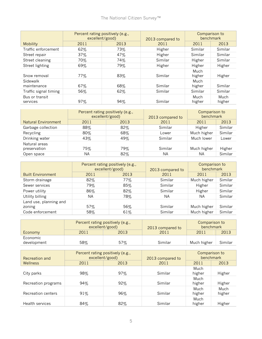|                            | Percent rating positively (e.g.,<br>excellent/good) |      | 2013 compared to | Comparison to<br>benchmark |                |
|----------------------------|-----------------------------------------------------|------|------------------|----------------------------|----------------|
| <b>Mobility</b>            | 2011                                                | 2013 | 2011             | 2011                       | 2013           |
| Traffic enforcement        | 62%                                                 | 73%  | Higher           | Similar                    | Similar        |
| Street repair              | 37%                                                 | 47%  | Higher           | Similar                    | Similar        |
| Street cleaning            | 70%                                                 | 74%  | Similar          | Higher                     | Similar        |
| Street lighting            | 69%                                                 | 79%  | Higher           | Higher                     | Higher         |
| Snow removal               | $77\%$                                              | 83%  | Similar          | Much<br>higher             | Higher         |
| Sidewalk<br>maintenance    | 67%                                                 | 68%  | Similar          | Much<br>higher             | Similar        |
| Traffic signal timing      | 56%                                                 | 62%  | Similar          | Similar                    | Similar        |
| Bus or transit<br>services | 97%                                                 | 94%  | Similar          | Much<br>higher             | Much<br>higher |

|                               | Percent rating positively (e.g.,<br>excellent/good) |      | 2013 compared to | Comparison to<br>benchmark |         |
|-------------------------------|-----------------------------------------------------|------|------------------|----------------------------|---------|
| <b>Natural Environment</b>    | 2011                                                | 2013 | 2011             | 2011                       | 2013    |
| Garbage collection            | 88%                                                 | 82%  | Similar          | Higher                     | Similar |
| Recycling                     | 80%                                                 | 68%  | Lower            | Much higher                | Similar |
| Drinking water                | 43%                                                 | 49%  | Similar          | Much lower                 | Lower   |
| Natural areas<br>preservation | 75%                                                 | 79%  | Similar          | Much higher                | Higher  |
| Open space                    | ΝA                                                  | 82%  | ΝA               | ΝA                         | Similar |

|                                  | Percent rating positively (e.g.,<br>excellent/good) |      | 2013 compared to | Comparison to<br>benchmark |         |
|----------------------------------|-----------------------------------------------------|------|------------------|----------------------------|---------|
| <b>Built Environment</b>         | 2011                                                | 2013 | 2011             | 2011                       | 2013    |
| Storm drainage                   | 82%                                                 | 77%  | Similar          | Much higher                | Similar |
| Sewer services                   | 79%                                                 | 85%  | Similar          | Higher                     | Similar |
| Power utility                    | 86%                                                 | 82%  | Similar          | Higher                     | Similar |
| Utility billing                  | ΝA                                                  | 78%  | ΝA               | NА                         | Similar |
| Land use, planning and<br>zoning | 57%                                                 | 56%  | Similar          | Much higher                | Similar |
| Code enforcement                 | 58%                                                 | 61%  | Similar          | Much higher                | Similar |

|                         | Percent rating positively (e.g.,<br>excellent/good) |      | 2013 compared to | Comparison to<br>benchmark |         |
|-------------------------|-----------------------------------------------------|------|------------------|----------------------------|---------|
| Economy                 | 2011                                                | 2013 | 2011             | 2011                       | 2013    |
| Economic<br>development | 58%                                                 | 57%  | Similar          | Much higher                | Similar |

| Recreation and         | Percent rating positively (e.g.,<br>excellent/good) |      | 2013 compared to |                | Comparison to<br>benchmark |
|------------------------|-----------------------------------------------------|------|------------------|----------------|----------------------------|
| <b>Wellness</b>        | 2011                                                | 2013 | 2011             | 2011           | 2013                       |
| City parks             | 98%                                                 | 97%  | Similar          | Much<br>higher | Higher                     |
| Recreation programs    | 94%                                                 | 92%  | Similar          | Much<br>higher | Higher                     |
| Recreation centers     | 91%                                                 | 96%  | Similar          | Much<br>higher | Much<br>higher             |
| <b>Health services</b> | 84%                                                 | 82%  | Similar          | Much<br>higher | Higher                     |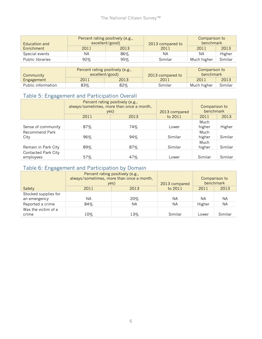| Education and           | Percent rating positively (e.g.,<br>excellent/good) |        | 2013 compared to | Comparison to<br>benchmark |         |
|-------------------------|-----------------------------------------------------|--------|------------------|----------------------------|---------|
| Enrichment              | 2011                                                | 2013   | 2011             | 2011                       | 2013    |
| Special events          | ΝA                                                  | $86\%$ | ΝA               | ΝA                         | Higher  |
| <b>Public libraries</b> | $92\%$                                              | 95%    | Similar          | Much higher                | Similar |

| Percent rating positively (e.g.,<br>excellent/good)<br>Community |        | 2013 compared to | Comparison to<br>benchmark |             |         |
|------------------------------------------------------------------|--------|------------------|----------------------------|-------------|---------|
| Engagement                                                       | 2011   | 2013             | 2011                       | 2011        | 2013    |
| Public information                                               | $83\%$ | $82\%$           | Similar                    | Much higher | Similar |

#### Table 5: Engagement and Participation Overall

|                                         | Percent rating positively (e.g.,<br>always/sometimes, more than once a month,<br>yes) |      | 2013 compared | Comparison to<br>benchmark |         |
|-----------------------------------------|---------------------------------------------------------------------------------------|------|---------------|----------------------------|---------|
|                                         | 2011                                                                                  | 2013 | to 2011       | 2011                       | 2013    |
| Sense of community                      | 87%                                                                                   | 74%  | Lower         | Much<br>higher             | Higher  |
| Recommend Park<br>City                  | 96%                                                                                   | 94%  | Similar       | Much<br>higher             | Similar |
| Remain in Park City                     | 89%                                                                                   | 87%  | Similar       | Much<br>higher             | Similar |
| <b>Contacted Park City</b><br>employees | 57%                                                                                   | 47%  | Lower         | Similar                    | Similar |

#### Table 6: Engagement and Participation by Domain

|                      | Percent rating positively (e.g.,<br>always/sometimes, more than once a month,<br>yes) |      | 2013 compared |        | Comparison to<br>benchmark |
|----------------------|---------------------------------------------------------------------------------------|------|---------------|--------|----------------------------|
| Safety               | 2011                                                                                  | 2013 | to 2011       | 2011   | 2013                       |
| Stocked supplies for |                                                                                       |      |               |        |                            |
| an emergency         | ΝA                                                                                    | 20%  | NА            | NA.    | ΝA                         |
| Reported a crime     | 84%                                                                                   | NА   | NA.           | Higher | NA                         |
| Was the victim of a  |                                                                                       |      |               |        |                            |
| crime                | 10%                                                                                   | 13%  | Similar       | Lower  | Similar                    |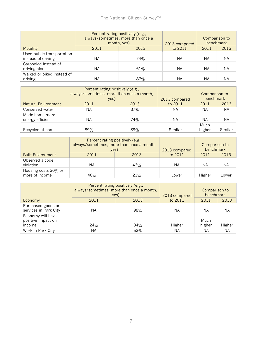|                                                  | Percent rating positively (e.g.,<br>always/sometimes, more than once a<br>month, yes) |      | 2013 compared | Comparison to<br>benchmark |      |
|--------------------------------------------------|---------------------------------------------------------------------------------------|------|---------------|----------------------------|------|
| <b>Mobility</b>                                  | 2011                                                                                  | 2013 | to 2011       | 2011                       | 2013 |
| Used public transportation<br>instead of driving | ΝA                                                                                    | 74%  | ΝA            | ΝA                         | ΝA   |
| Carpooled instead of<br>driving alone            | ΝA                                                                                    | 61%  | <b>NA</b>     | ΝA                         | ΝA   |
| Walked or biked instead of<br>driving            | ΝA                                                                                    | 87%  | <b>NA</b>     | ΝA                         | ΝA   |

|                                    | Percent rating positively (e.g.,<br>always/sometimes, more than once a month,<br>yes) |        | 2013 compared | Comparison to<br>benchmark |         |
|------------------------------------|---------------------------------------------------------------------------------------|--------|---------------|----------------------------|---------|
| <b>Natural Environment</b>         | 2011                                                                                  | 2013   | to 2011       | 2011                       | 2013    |
| Conserved water                    | ΝA                                                                                    | $87\%$ | NA.           | ΝA                         | NА      |
| Made home more<br>energy efficient | ΝA                                                                                    | 74%    | ΝA            | ΝA                         | ΝA      |
| Recycled at home                   | 89%                                                                                   | 89%    | Similar       | Much<br>higher             | Similar |

|                                        | Percent rating positively (e.g.,<br>always/sometimes, more than once a month,<br>yes) |      | 2013 compared | Comparison to<br>benchmark |       |
|----------------------------------------|---------------------------------------------------------------------------------------|------|---------------|----------------------------|-------|
| <b>Built Environment</b>               | 2011                                                                                  | 2013 | to 2011       | 2011                       | 2013  |
| Observed a code<br>violation           | ΝA                                                                                    | 43%  | ΝA            | NA.                        | ΝA    |
| Housing costs 30% or<br>more of income | 40%                                                                                   | 21%  | Lower         | Higher                     | Lower |

|                                                   | Percent rating positively (e.g.,<br>always/sometimes, more than once a month,<br>yes) |      | 2013 compared | Comparison to<br>benchmark |           |
|---------------------------------------------------|---------------------------------------------------------------------------------------|------|---------------|----------------------------|-----------|
| Economy                                           | 2011                                                                                  | 2013 | to 2011       | 2011                       | 2013      |
| Purchased goods or<br>services in Park City       | ΝA                                                                                    | 98%  | ΝA            | ΝA                         | NA.       |
| Economy will have<br>positive impact on<br>income | 24%                                                                                   | 34%  | Higher        | Much<br>higher             | Higher    |
| Work in Park City                                 | ΝA                                                                                    | 63%  | ΝA            | ΝA                         | <b>NA</b> |